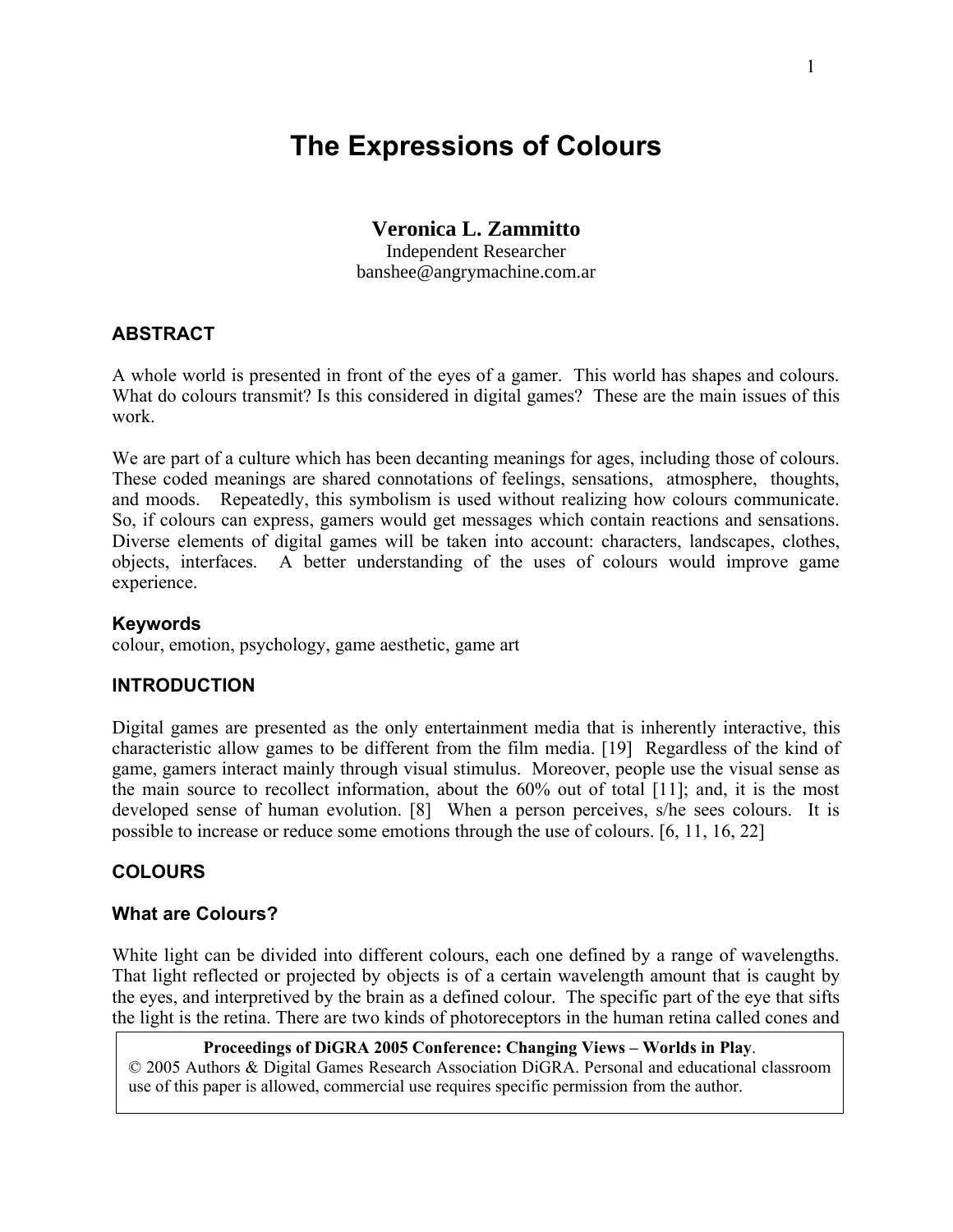# **The Expressions of Colours**

## **Veronica L. Zammitto**

Independent Researcher banshee@angrymachine.com.ar

### **ABSTRACT**

A whole world is presented in front of the eyes of a gamer. This world has shapes and colours. What do colours transmit? Is this considered in digital games? These are the main issues of this work.

We are part of a culture which has been decanting meanings for ages, including those of colours. These coded meanings are shared connotations of feelings, sensations, atmosphere, thoughts, and moods. Repeatedly, this symbolism is used without realizing how colours communicate. So, if colours can express, gamers would get messages which contain reactions and sensations. Diverse elements of digital games will be taken into account: characters, landscapes, clothes, objects, interfaces. A better understanding of the uses of colours would improve game experience.

#### **Keywords**

colour, emotion, psychology, game aesthetic, game art

### **INTRODUCTION**

Digital games are presented as the only entertainment media that is inherently interactive, this characteristic allow games to be different from the film media. [19] Regardless of the kind of game, gamers interact mainly through visual stimulus. Moreover, people use the visual sense as the main source to recollect information, about the 60% out of total [11]; and, it is the most developed sense of human evolution. [8] When a person perceives, s/he sees colours. It is possible to increase or reduce some emotions through the use of colours. [6, 11, 16, 22]

### **COLOURS**

### **What are Colours?**

White light can be divided into different colours, each one defined by a range of wavelengths. That light reflected or projected by objects is of a certain wavelength amount that is caught by the eyes, and interpretived by the brain as a defined colour. The specific part of the eye that sifts the light is the retina. There are two kinds of photoreceptors in the human retina called cones and

**Proceedings of DiGRA 2005 Conference: Changing Views – Worlds in Play**. © 2005 Authors & Digital Games Research Association DiGRA. Personal and educational classroom use of this paper is allowed, commercial use requires specific permission from the author.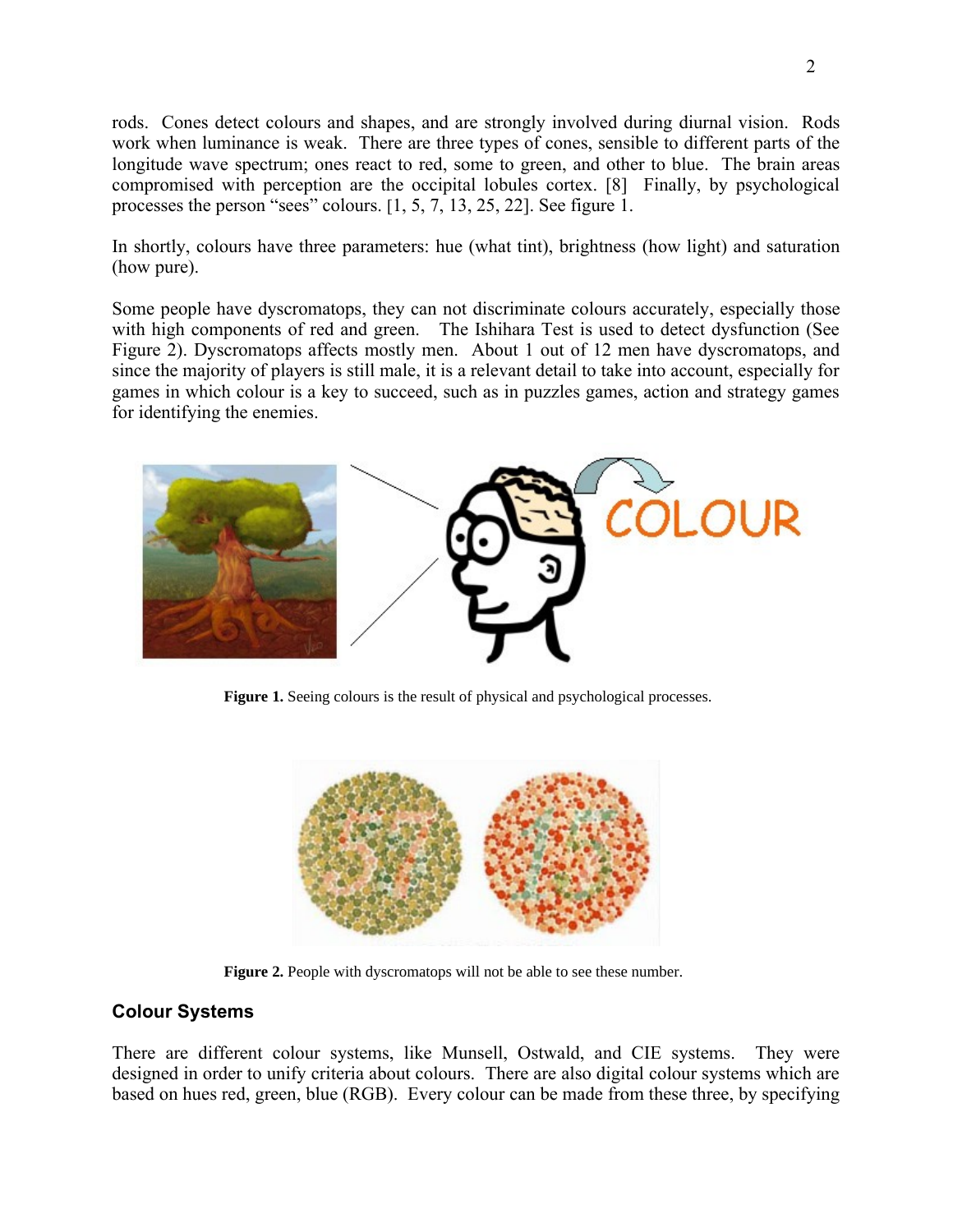rods. Cones detect colours and shapes, and are strongly involved during diurnal vision. Rods work when luminance is weak. There are three types of cones, sensible to different parts of the longitude wave spectrum; ones react to red, some to green, and other to blue. The brain areas compromised with perception are the occipital lobules cortex. [8] Finally, by psychological processes the person "sees" colours. [1, 5, 7, 13, 25, 22]. See figure 1.

In shortly, colours have three parameters: hue (what tint), brightness (how light) and saturation (how pure).

Some people have dyscromatops, they can not discriminate colours accurately, especially those with high components of red and green. The Ishihara Test is used to detect dysfunction (See Figure 2). Dyscromatops affects mostly men. About 1 out of 12 men have dyscromatops, and since the majority of players is still male, it is a relevant detail to take into account, especially for games in which colour is a key to succeed, such as in puzzles games, action and strategy games for identifying the enemies.



**Figure 1.** Seeing colours is the result of physical and psychological processes.



Figure 2. People with dyscromatops will not be able to see these number.

### **Colour Systems**

There are different colour systems, like Munsell, Ostwald, and CIE systems. They were designed in order to unify criteria about colours. There are also digital colour systems which are based on hues red, green, blue (RGB). Every colour can be made from these three, by specifying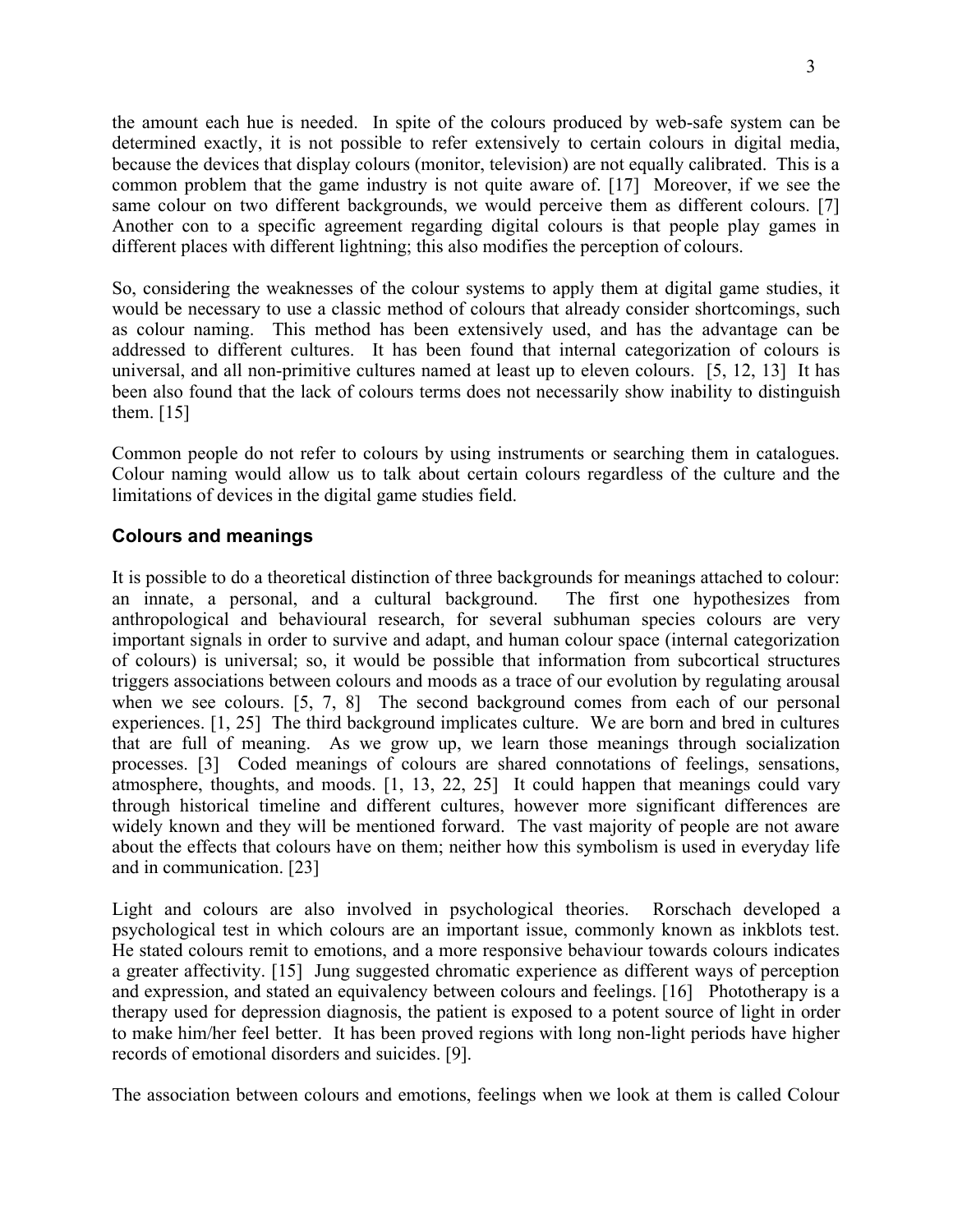the amount each hue is needed. In spite of the colours produced by web-safe system can be determined exactly, it is not possible to refer extensively to certain colours in digital media, because the devices that display colours (monitor, television) are not equally calibrated. This is a common problem that the game industry is not quite aware of. [17] Moreover, if we see the same colour on two different backgrounds, we would perceive them as different colours. [7] Another con to a specific agreement regarding digital colours is that people play games in different places with different lightning; this also modifies the perception of colours.

So, considering the weaknesses of the colour systems to apply them at digital game studies, it would be necessary to use a classic method of colours that already consider shortcomings, such as colour naming. This method has been extensively used, and has the advantage can be addressed to different cultures. It has been found that internal categorization of colours is universal, and all non-primitive cultures named at least up to eleven colours. [5, 12, 13] It has been also found that the lack of colours terms does not necessarily show inability to distinguish them. [15]

Common people do not refer to colours by using instruments or searching them in catalogues. Colour naming would allow us to talk about certain colours regardless of the culture and the limitations of devices in the digital game studies field.

### **Colours and meanings**

It is possible to do a theoretical distinction of three backgrounds for meanings attached to colour: an innate, a personal, and a cultural background. The first one hypothesizes from anthropological and behavioural research, for several subhuman species colours are very important signals in order to survive and adapt, and human colour space (internal categorization of colours) is universal; so, it would be possible that information from subcortical structures triggers associations between colours and moods as a trace of our evolution by regulating arousal when we see colours. [5, 7, 8] The second background comes from each of our personal experiences. [1, 25] The third background implicates culture. We are born and bred in cultures that are full of meaning. As we grow up, we learn those meanings through socialization processes. [3] Coded meanings of colours are shared connotations of feelings, sensations, atmosphere, thoughts, and moods. [1, 13, 22, 25] It could happen that meanings could vary through historical timeline and different cultures, however more significant differences are widely known and they will be mentioned forward. The vast majority of people are not aware about the effects that colours have on them; neither how this symbolism is used in everyday life and in communication. [23]

Light and colours are also involved in psychological theories. Rorschach developed a psychological test in which colours are an important issue, commonly known as inkblots test. He stated colours remit to emotions, and a more responsive behaviour towards colours indicates a greater affectivity. [15] Jung suggested chromatic experience as different ways of perception and expression, and stated an equivalency between colours and feelings. [16] Phototherapy is a therapy used for depression diagnosis, the patient is exposed to a potent source of light in order to make him/her feel better. It has been proved regions with long non-light periods have higher records of emotional disorders and suicides. [9].

The association between colours and emotions, feelings when we look at them is called Colour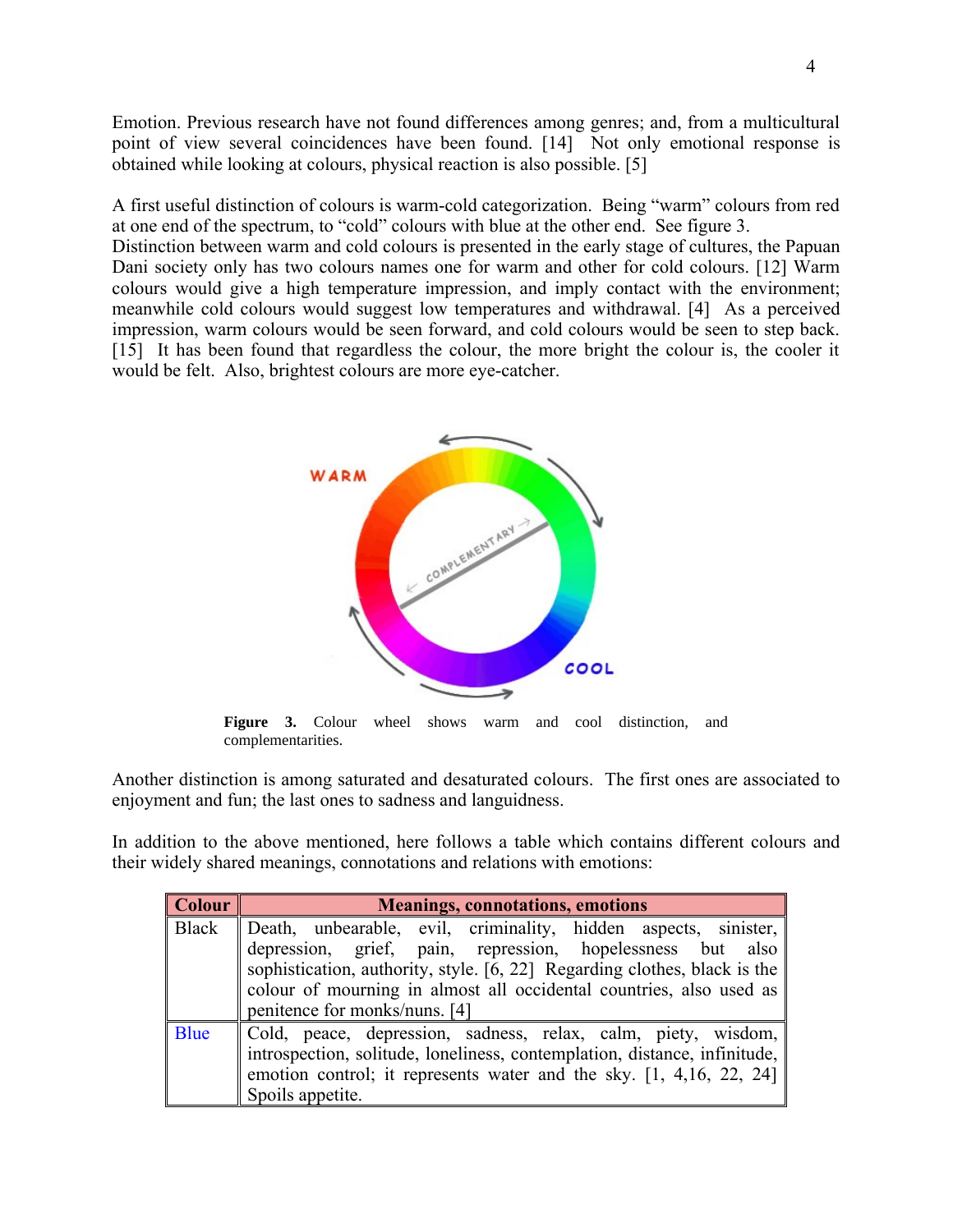Emotion. Previous research have not found differences among genres; and, from a multicultural point of view several coincidences have been found. [14] Not only emotional response is obtained while looking at colours, physical reaction is also possible. [5]

A first useful distinction of colours is warm-cold categorization. Being "warm" colours from red at one end of the spectrum, to "cold" colours with blue at the other end. See figure 3. Distinction between warm and cold colours is presented in the early stage of cultures, the Papuan Dani society only has two colours names one for warm and other for cold colours. [12] Warm colours would give a high temperature impression, and imply contact with the environment; meanwhile cold colours would suggest low temperatures and withdrawal. [4] As a perceived

impression, warm colours would be seen forward, and cold colours would be seen to step back. [15] It has been found that regardless the colour, the more bright the colour is, the cooler it would be felt. Also, brightest colours are more eye-catcher.



complementarities.

Another distinction is among saturated and desaturated colours. The first ones are associated to enjoyment and fun; the last ones to sadness and languidness.

In addition to the above mentioned, here follows a table which contains different colours and their widely shared meanings, connotations and relations with emotions:

| $\sqrt{\hbox{Colour}}$ | <b>Meanings, connotations, emotions</b>                                   |
|------------------------|---------------------------------------------------------------------------|
| <b>Black</b>           | Death, unbearable, evil, criminality, hidden aspects, sinister,           |
|                        | depression, grief, pain, repression, hopelessness but also                |
|                        | sophistication, authority, style. [6, 22] Regarding clothes, black is the |
|                        | colour of mourning in almost all occidental countries, also used as       |
|                        | penitence for monks/nuns. [4]                                             |
| <b>Blue</b>            | Cold, peace, depression, sadness, relax, calm, piety, wisdom,             |
|                        | introspection, solitude, loneliness, contemplation, distance, infinitude, |
|                        | emotion control; it represents water and the sky. $[1, 4, 16, 22, 24]$    |
|                        | Spoils appetite.                                                          |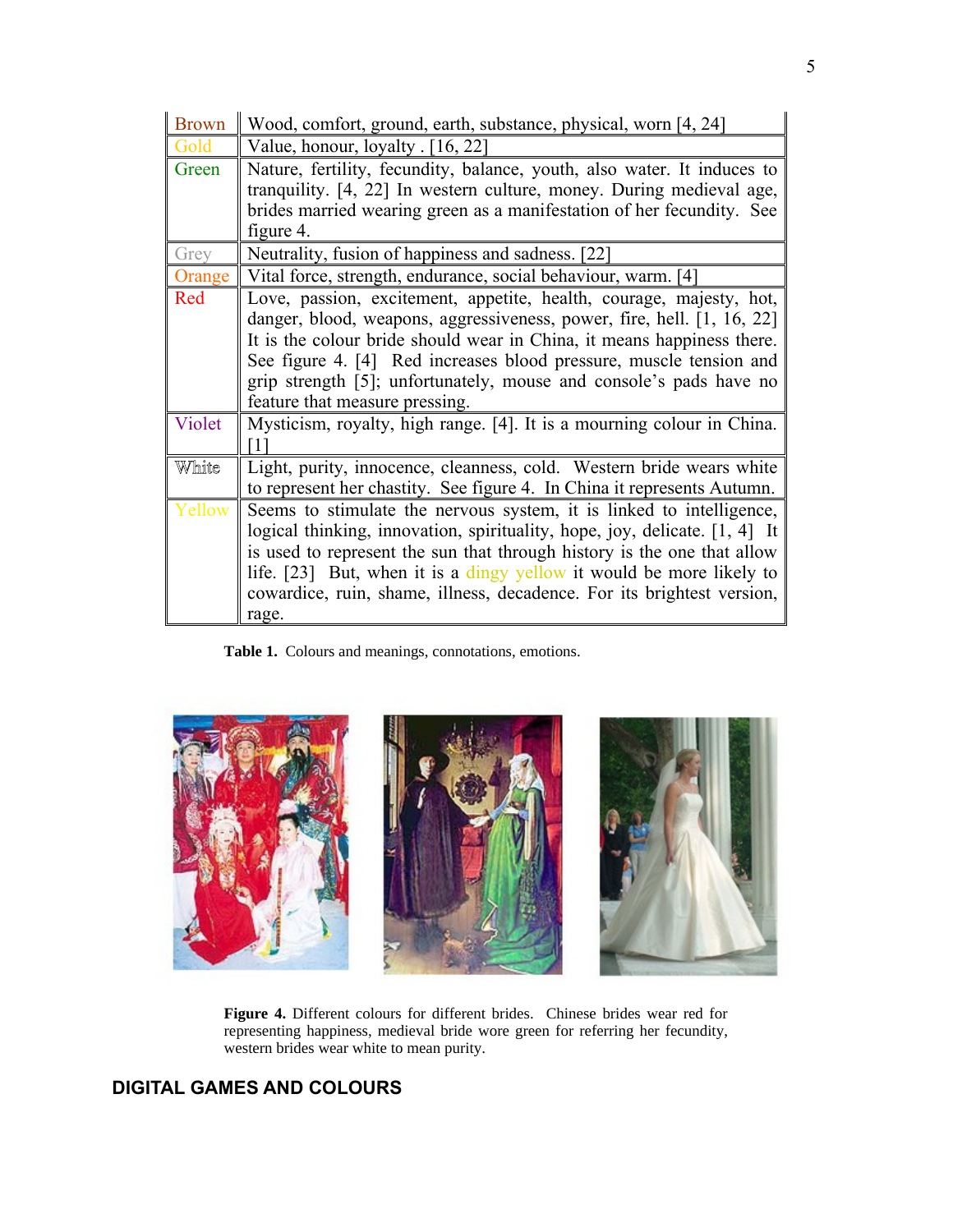| <b>Brown</b> | Wood, comfort, ground, earth, substance, physical, worn [4, 24]            |
|--------------|----------------------------------------------------------------------------|
| Gold         | Value, honour, loyalty [16, 22]                                            |
| Green        | Nature, fertility, fecundity, balance, youth, also water. It induces to    |
|              | tranquility. [4, 22] In western culture, money. During medieval age,       |
|              | brides married wearing green as a manifestation of her fecundity. See      |
|              | figure 4.                                                                  |
| Grey         | Neutrality, fusion of happiness and sadness. [22]                          |
| Orange       | Vital force, strength, endurance, social behaviour, warm. [4]              |
| Red          | Love, passion, excitement, appetite, health, courage, majesty, hot,        |
|              | danger, blood, weapons, aggressiveness, power, fire, hell. [1, 16, 22]     |
|              | It is the colour bride should wear in China, it means happiness there.     |
|              | See figure 4. [4] Red increases blood pressure, muscle tension and         |
|              | grip strength [5]; unfortunately, mouse and console's pads have no         |
|              | feature that measure pressing.                                             |
| Violet       | Mysticism, royalty, high range. [4]. It is a mourning colour in China.     |
|              | $\frac{1}{2}$                                                              |
| White        | Light, purity, innocence, cleanness, cold. Western bride wears white       |
|              | to represent her chastity. See figure 4. In China it represents Autumn.    |
| Yellow       | Seems to stimulate the nervous system, it is linked to intelligence,       |
|              | logical thinking, innovation, spirituality, hope, joy, delicate. [1, 4] It |
|              | is used to represent the sun that through history is the one that allow    |
|              | life. [23] But, when it is a dingy yellow it would be more likely to       |
|              | cowardice, ruin, shame, illness, decadence. For its brightest version,     |
|              | rage.                                                                      |

**Table 1.** Colours and meanings, connotations, emotions.



**Figure 4.** Different colours for different brides. Chinese brides wear red for representing happiness, medieval bride wore green for referring her fecundity, western brides wear white to mean purity.

## **DIGITAL GAMES AND COLOURS**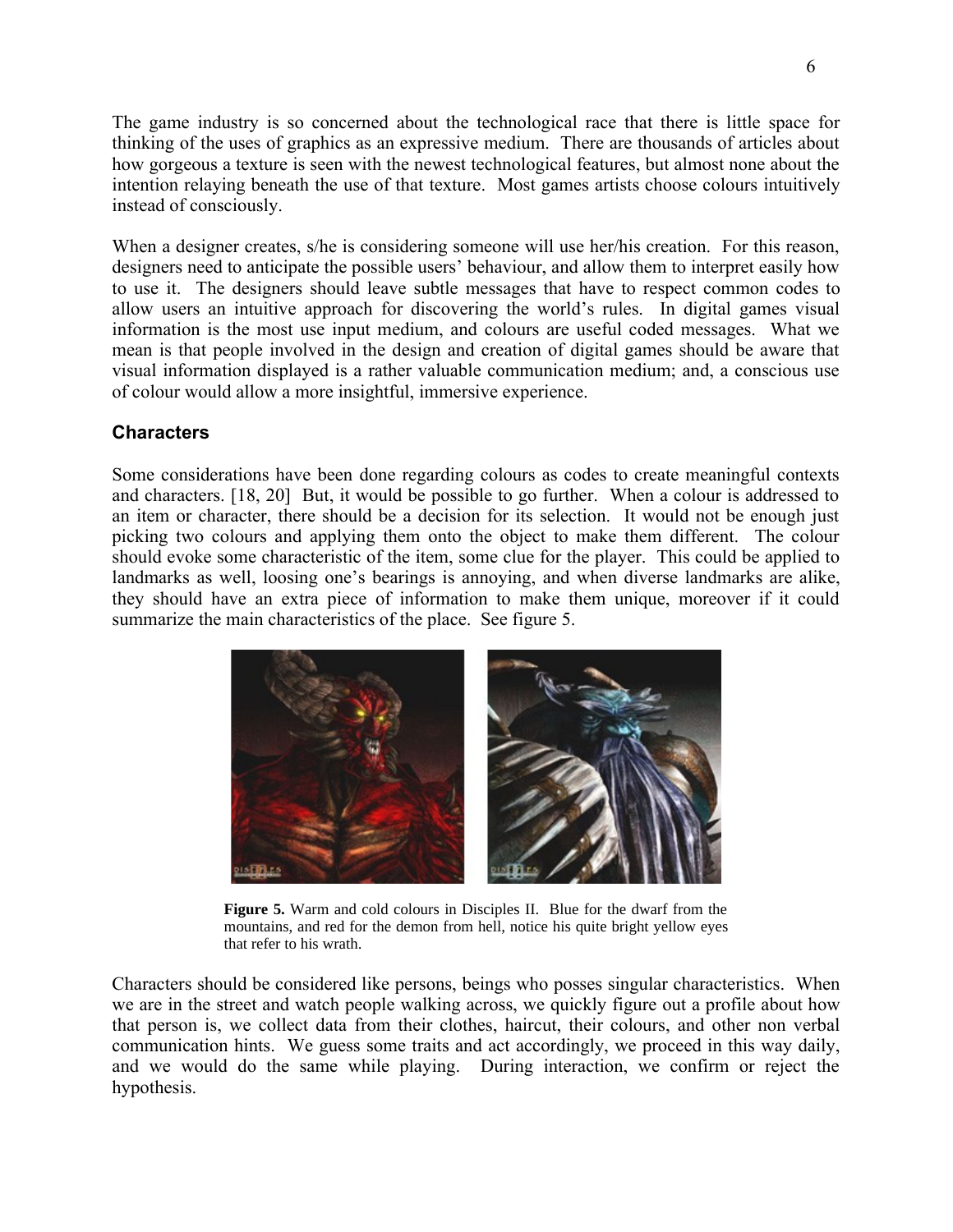The game industry is so concerned about the technological race that there is little space for thinking of the uses of graphics as an expressive medium. There are thousands of articles about how gorgeous a texture is seen with the newest technological features, but almost none about the intention relaying beneath the use of that texture. Most games artists choose colours intuitively instead of consciously.

When a designer creates, s/he is considering someone will use her/his creation. For this reason, designers need to anticipate the possible users' behaviour, and allow them to interpret easily how to use it. The designers should leave subtle messages that have to respect common codes to allow users an intuitive approach for discovering the world's rules. In digital games visual information is the most use input medium, and colours are useful coded messages. What we mean is that people involved in the design and creation of digital games should be aware that visual information displayed is a rather valuable communication medium; and, a conscious use of colour would allow a more insightful, immersive experience.

#### **Characters**

Some considerations have been done regarding colours as codes to create meaningful contexts and characters. [18, 20] But, it would be possible to go further. When a colour is addressed to an item or character, there should be a decision for its selection. It would not be enough just picking two colours and applying them onto the object to make them different. The colour should evoke some characteristic of the item, some clue for the player. This could be applied to landmarks as well, loosing one's bearings is annoying, and when diverse landmarks are alike, they should have an extra piece of information to make them unique, moreover if it could summarize the main characteristics of the place. See figure 5.



**Figure 5.** Warm and cold colours in Disciples II. Blue for the dwarf from the mountains, and red for the demon from hell, notice his quite bright yellow eyes that refer to his wrath.

Characters should be considered like persons, beings who posses singular characteristics. When we are in the street and watch people walking across, we quickly figure out a profile about how that person is, we collect data from their clothes, haircut, their colours, and other non verbal communication hints. We guess some traits and act accordingly, we proceed in this way daily, and we would do the same while playing. During interaction, we confirm or reject the hypothesis.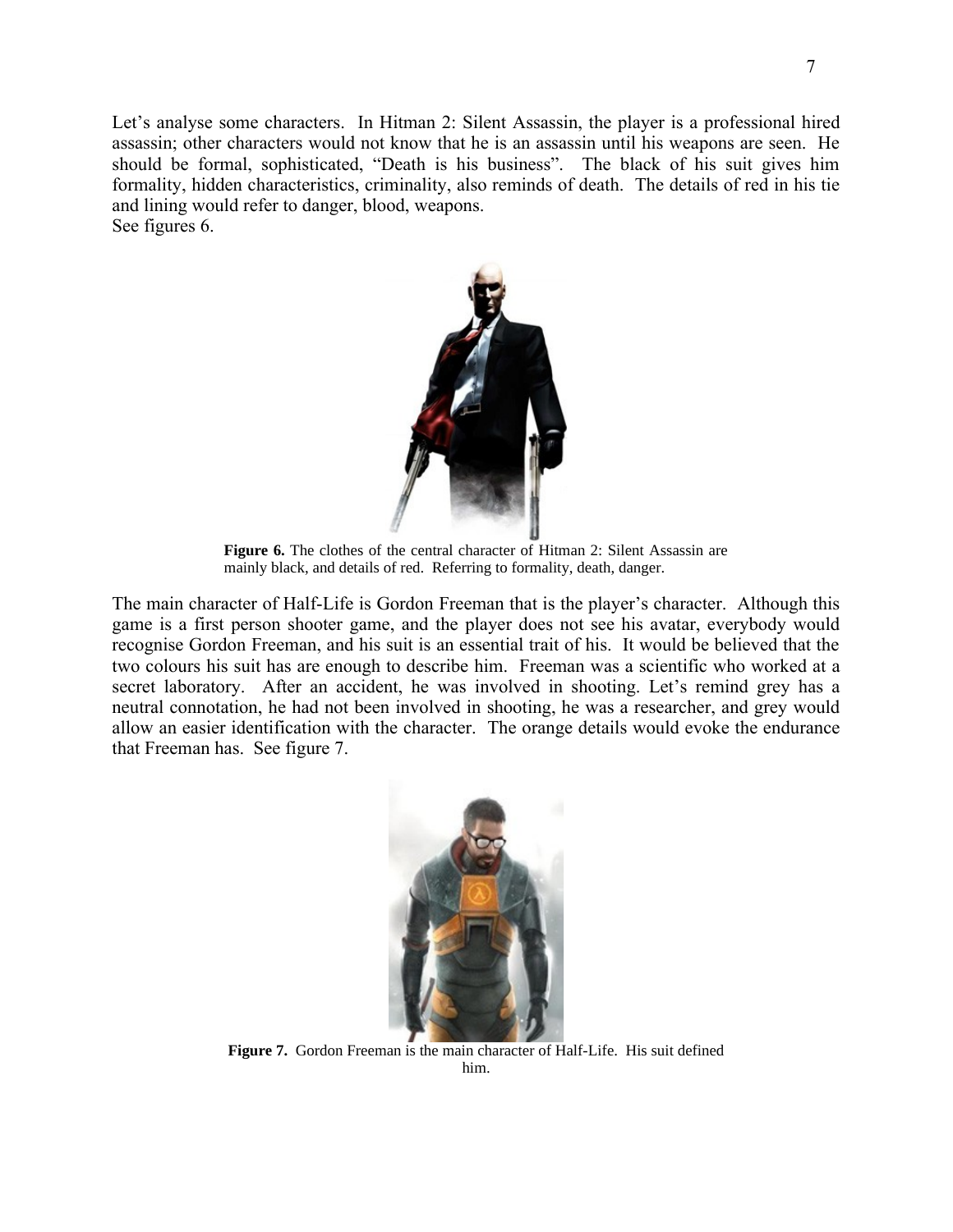Let's analyse some characters. In Hitman 2: Silent Assassin, the player is a professional hired assassin; other characters would not know that he is an assassin until his weapons are seen. He should be formal, sophisticated, "Death is his business". The black of his suit gives him formality, hidden characteristics, criminality, also reminds of death. The details of red in his tie and lining would refer to danger, blood, weapons. See figures 6.



**Figure 6.** The clothes of the central character of Hitman 2: Silent Assassin are mainly black, and details of red. Referring to formality, death, danger.

The main character of Half-Life is Gordon Freeman that is the player's character. Although this game is a first person shooter game, and the player does not see his avatar, everybody would recognise Gordon Freeman, and his suit is an essential trait of his. It would be believed that the two colours his suit has are enough to describe him. Freeman was a scientific who worked at a secret laboratory. After an accident, he was involved in shooting. Let's remind grey has a neutral connotation, he had not been involved in shooting, he was a researcher, and grey would allow an easier identification with the character. The orange details would evoke the endurance that Freeman has. See figure 7.



**Figure 7.** Gordon Freeman is the main character of Half-Life. His suit defined him.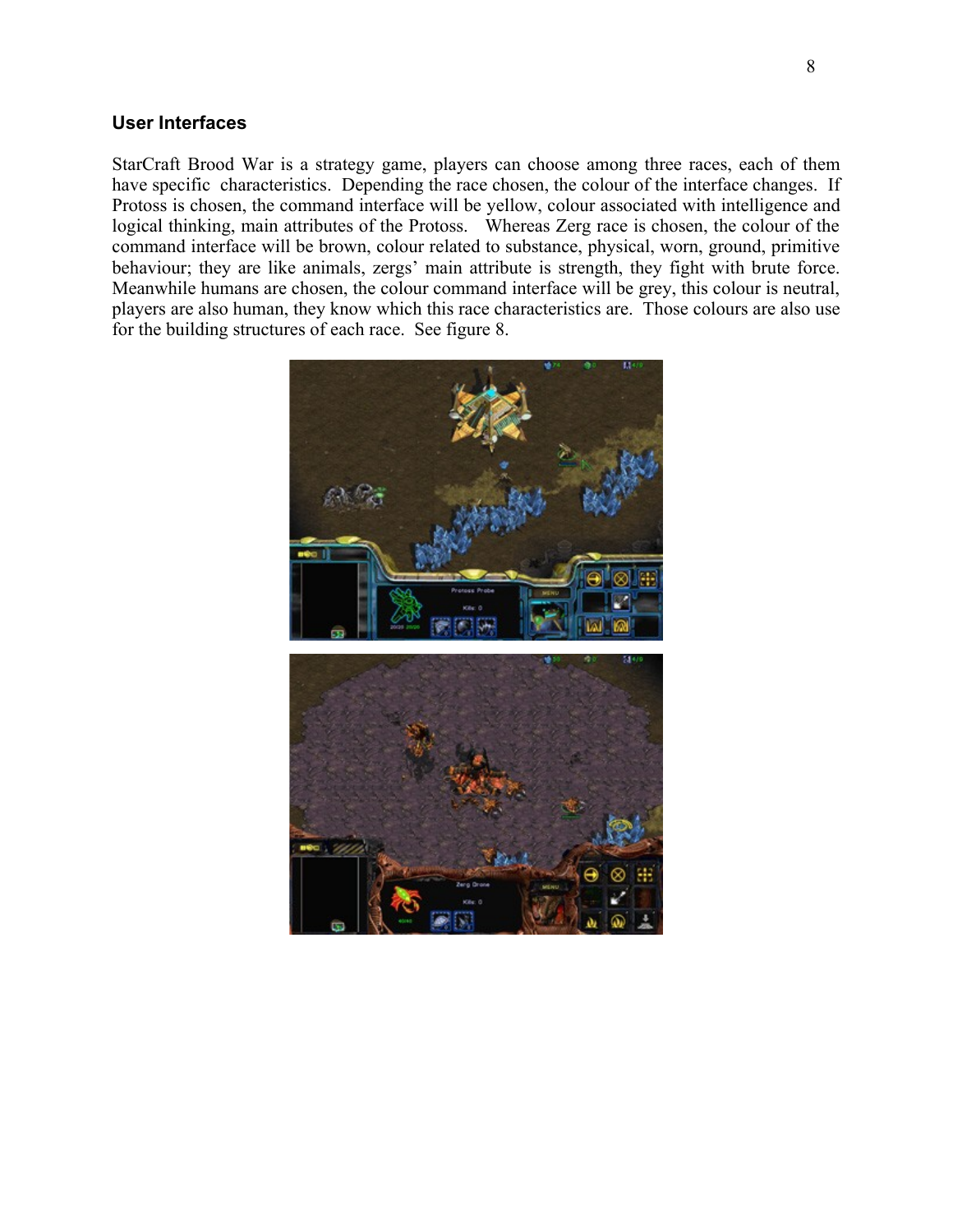#### **User Interfaces**

StarCraft Brood War is a strategy game, players can choose among three races, each of them have specific characteristics. Depending the race chosen, the colour of the interface changes. If Protoss is chosen, the command interface will be yellow, colour associated with intelligence and logical thinking, main attributes of the Protoss. Whereas Zerg race is chosen, the colour of the command interface will be brown, colour related to substance, physical, worn, ground, primitive behaviour; they are like animals, zergs' main attribute is strength, they fight with brute force. Meanwhile humans are chosen, the colour command interface will be grey, this colour is neutral, players are also human, they know which this race characteristics are. Those colours are also use for the building structures of each race. See figure 8.

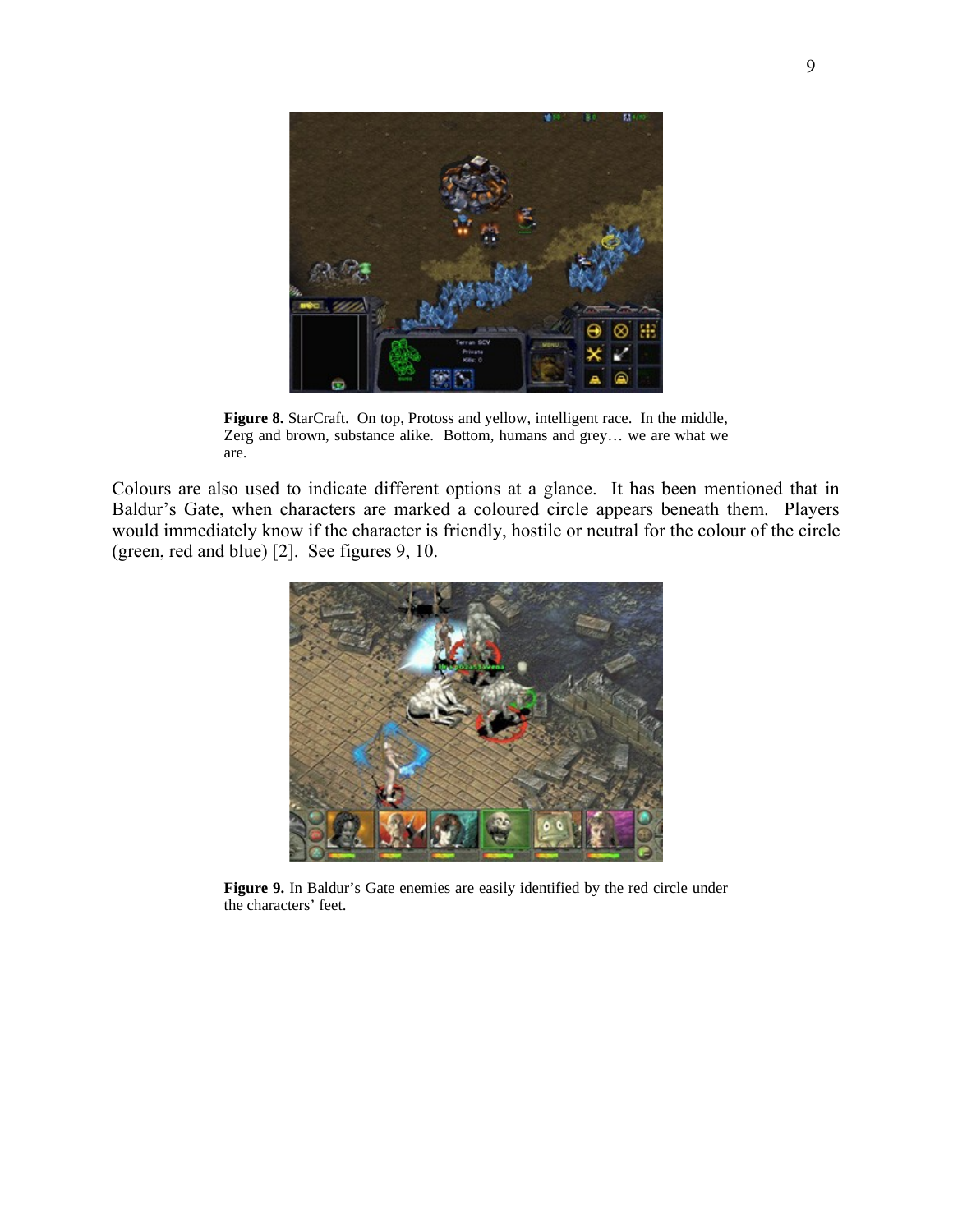

**Figure 8.** StarCraft. On top, Protoss and yellow, intelligent race. In the middle, Zerg and brown, substance alike. Bottom, humans and grey… we are what we are.

Colours are also used to indicate different options at a glance. It has been mentioned that in Baldur's Gate, when characters are marked a coloured circle appears beneath them. Players would immediately know if the character is friendly, hostile or neutral for the colour of the circle (green, red and blue) [2]. See figures 9, 10.



**Figure 9.** In Baldur's Gate enemies are easily identified by the red circle under the characters' feet.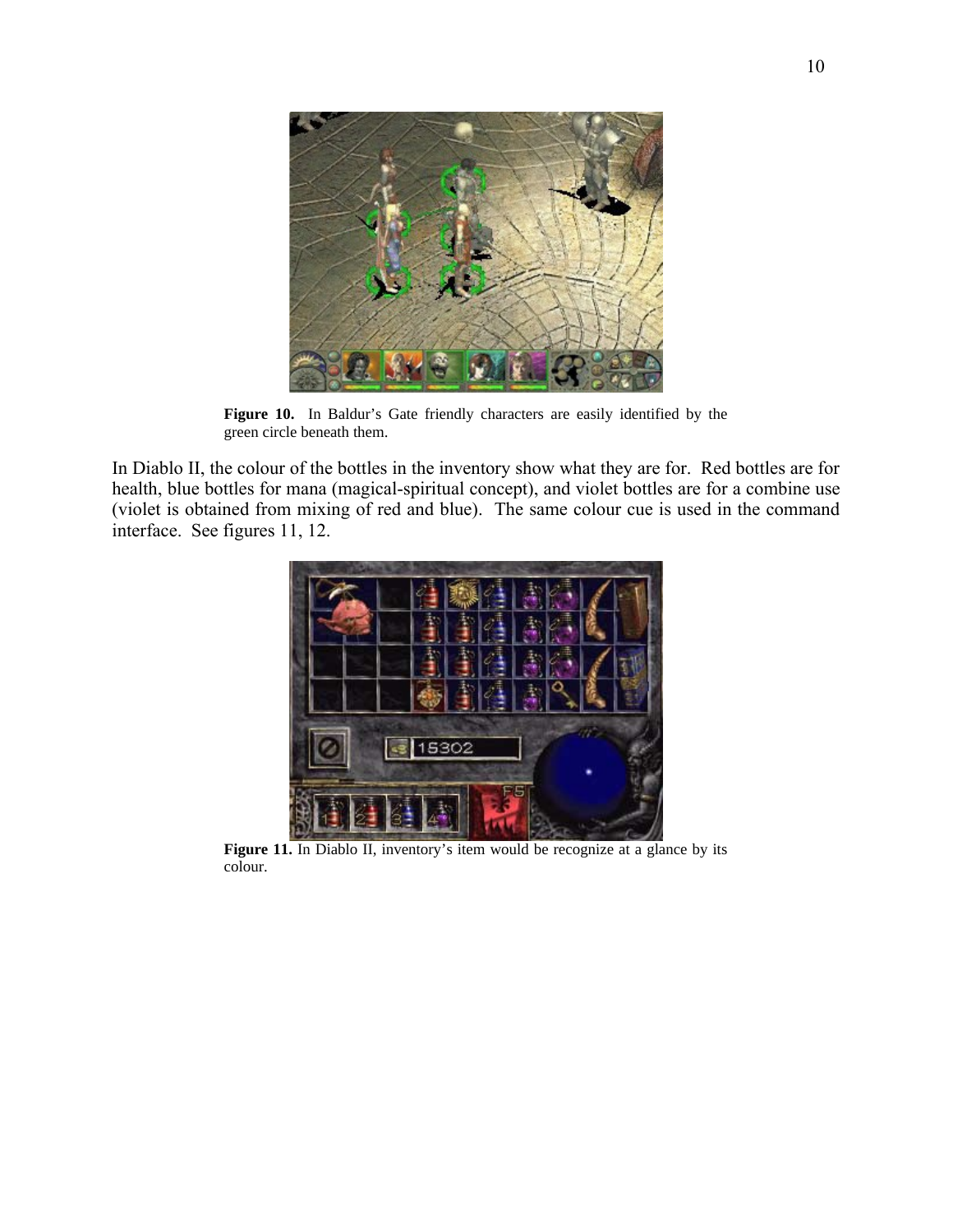

**Figure 10.** In Baldur's Gate friendly characters are easily identified by the green circle beneath them.

In Diablo II, the colour of the bottles in the inventory show what they are for. Red bottles are for health, blue bottles for mana (magical-spiritual concept), and violet bottles are for a combine use (violet is obtained from mixing of red and blue). The same colour cue is used in the command interface. See figures 11, 12.



**Figure 11.** In Diablo II, inventory's item would be recognize at a glance by its colour.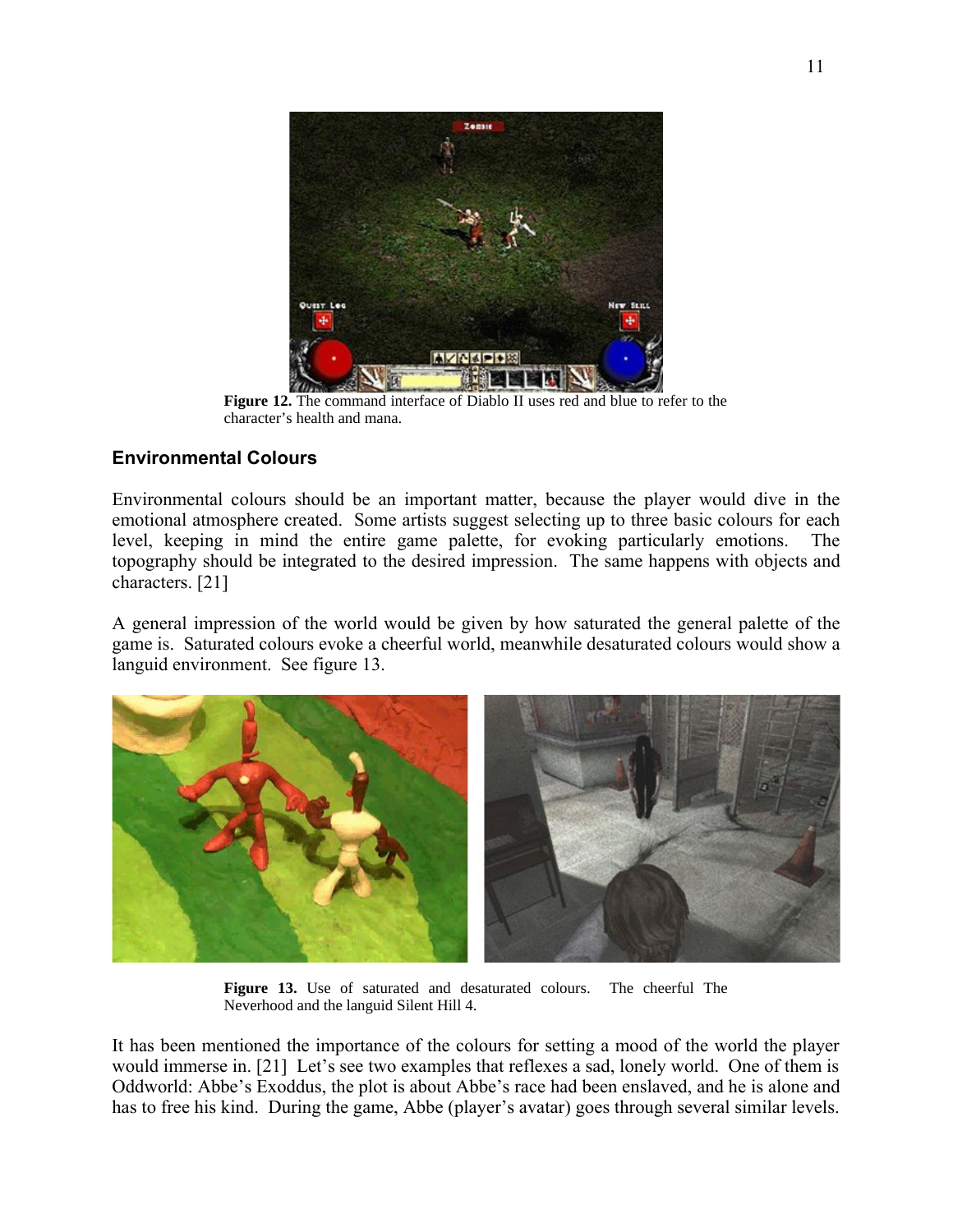

**Figure 12.** The command interface of Diablo II uses red and blue to refer to the character's health and mana.

### **Environmental Colours**

Environmental colours should be an important matter, because the player would dive in the emotional atmosphere created. Some artists suggest selecting up to three basic colours for each level, keeping in mind the entire game palette, for evoking particularly emotions. The topography should be integrated to the desired impression. The same happens with objects and characters. [21]

A general impression of the world would be given by how saturated the general palette of the game is. Saturated colours evoke a cheerful world, meanwhile desaturated colours would show a languid environment. See figure 13.



**Figure 13.** Use of saturated and desaturated colours. The cheerful The Neverhood and the languid Silent Hill 4.

It has been mentioned the importance of the colours for setting a mood of the world the player would immerse in. [21] Let's see two examples that reflexes a sad, lonely world. One of them is Oddworld: Abbe's Exoddus, the plot is about Abbe's race had been enslaved, and he is alone and has to free his kind. During the game, Abbe (player's avatar) goes through several similar levels.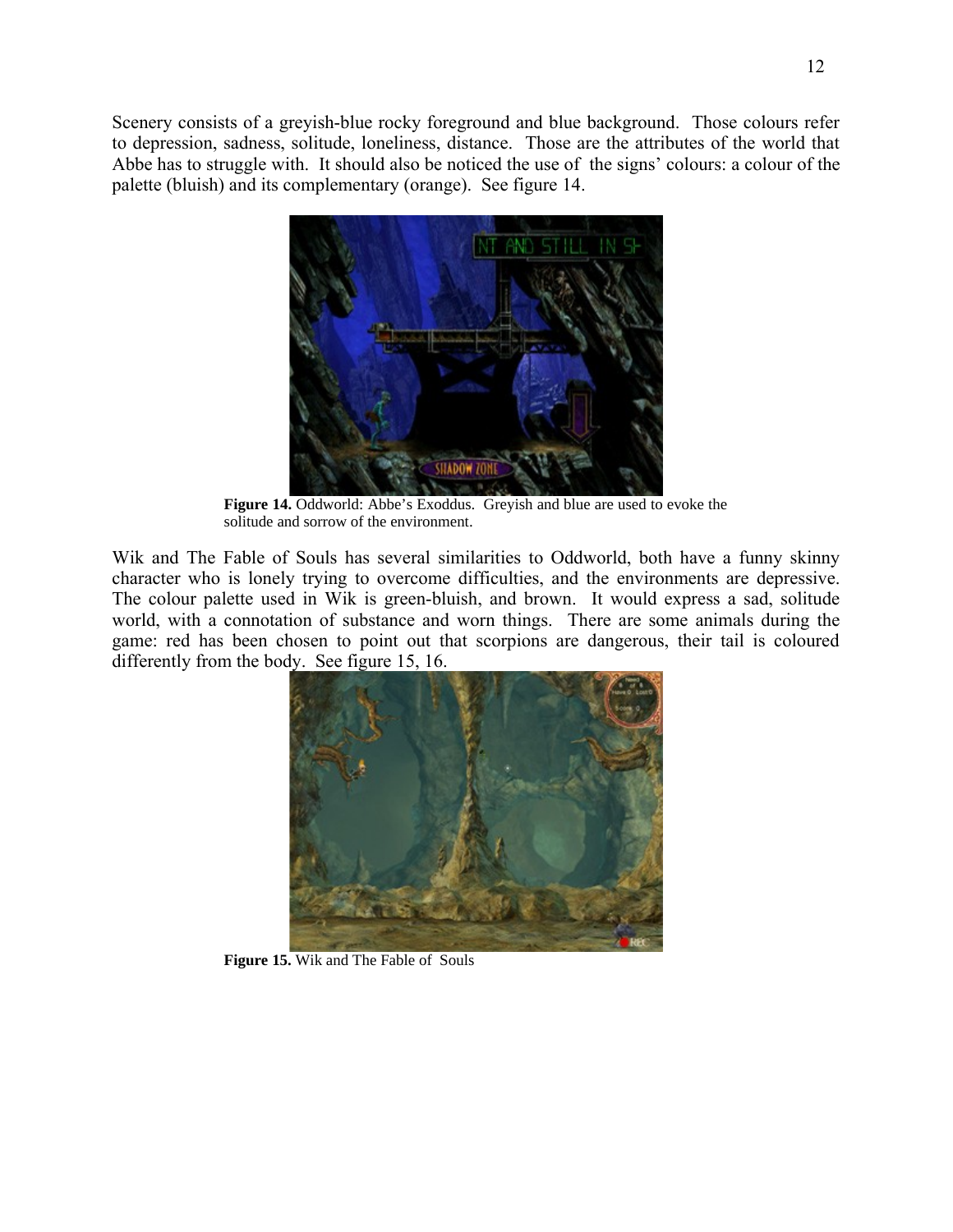Scenery consists of a greyish-blue rocky foreground and blue background. Those colours refer to depression, sadness, solitude, loneliness, distance. Those are the attributes of the world that Abbe has to struggle with. It should also be noticed the use of the signs' colours: a colour of the palette (bluish) and its complementary (orange). See figure 14.



**Figure 14.** Oddworld: Abbe's Exoddus. Greyish and blue are used to evoke the solitude and sorrow of the environment.

Wik and The Fable of Souls has several similarities to Oddworld, both have a funny skinny character who is lonely trying to overcome difficulties, and the environments are depressive. The colour palette used in Wik is green-bluish, and brown. It would express a sad, solitude world, with a connotation of substance and worn things. There are some animals during the game: red has been chosen to point out that scorpions are dangerous, their tail is coloured differently from the body. See figure 15, 16.



**Figure 15.** Wik and The Fable of Souls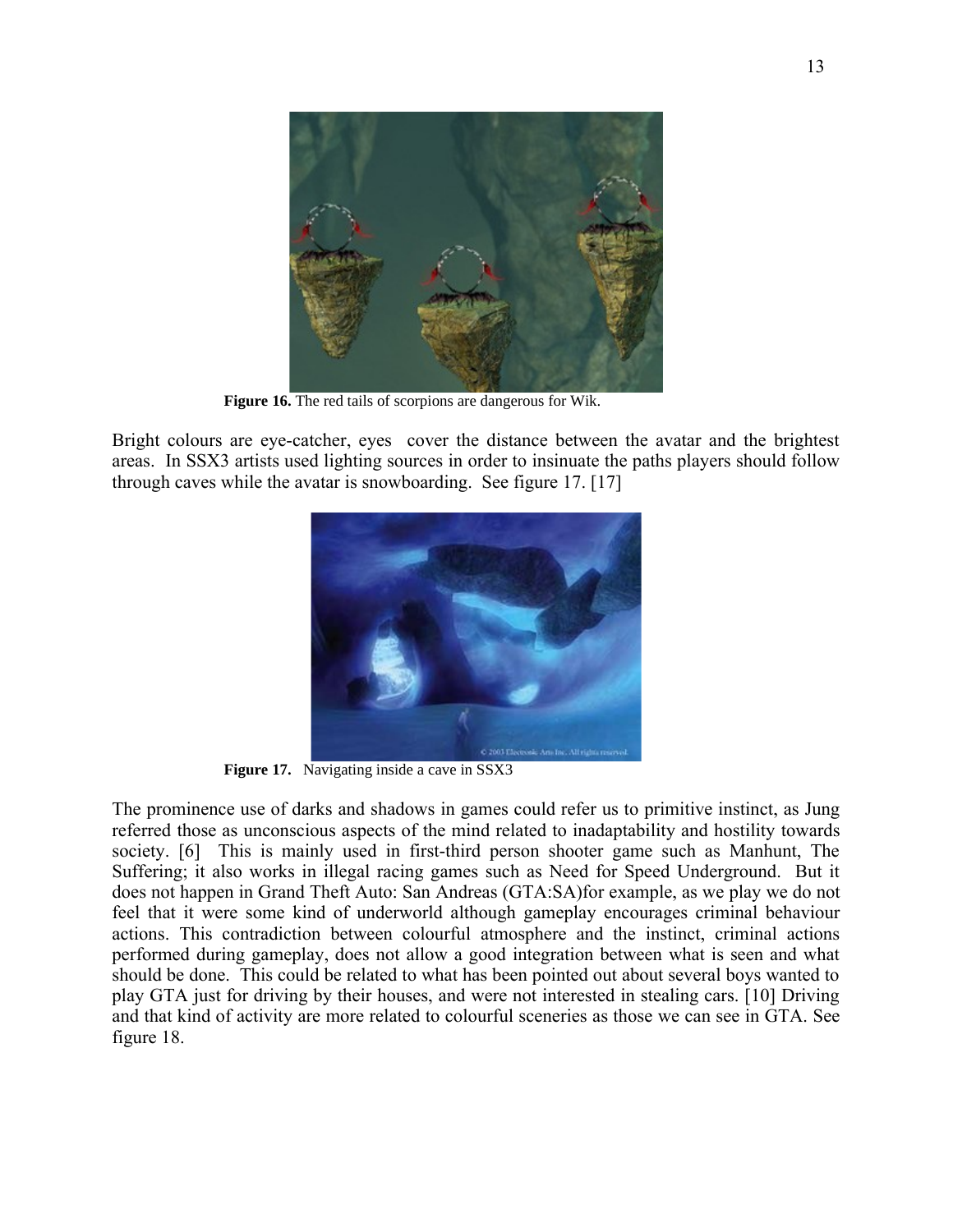

**Figure 16.** The red tails of scorpions are dangerous for Wik.

Bright colours are eye-catcher, eyes cover the distance between the avatar and the brightest areas. In SSX3 artists used lighting sources in order to insinuate the paths players should follow through caves while the avatar is snowboarding. See figure 17. [17]



Figure 17. Navigating inside a cave in SSX3

The prominence use of darks and shadows in games could refer us to primitive instinct, as Jung referred those as unconscious aspects of the mind related to inadaptability and hostility towards society. [6] This is mainly used in first-third person shooter game such as Manhunt, The Suffering; it also works in illegal racing games such as Need for Speed Underground. But it does not happen in Grand Theft Auto: San Andreas (GTA:SA)for example, as we play we do not feel that it were some kind of underworld although gameplay encourages criminal behaviour actions. This contradiction between colourful atmosphere and the instinct, criminal actions performed during gameplay, does not allow a good integration between what is seen and what should be done. This could be related to what has been pointed out about several boys wanted to play GTA just for driving by their houses, and were not interested in stealing cars. [10] Driving and that kind of activity are more related to colourful sceneries as those we can see in GTA. See figure 18.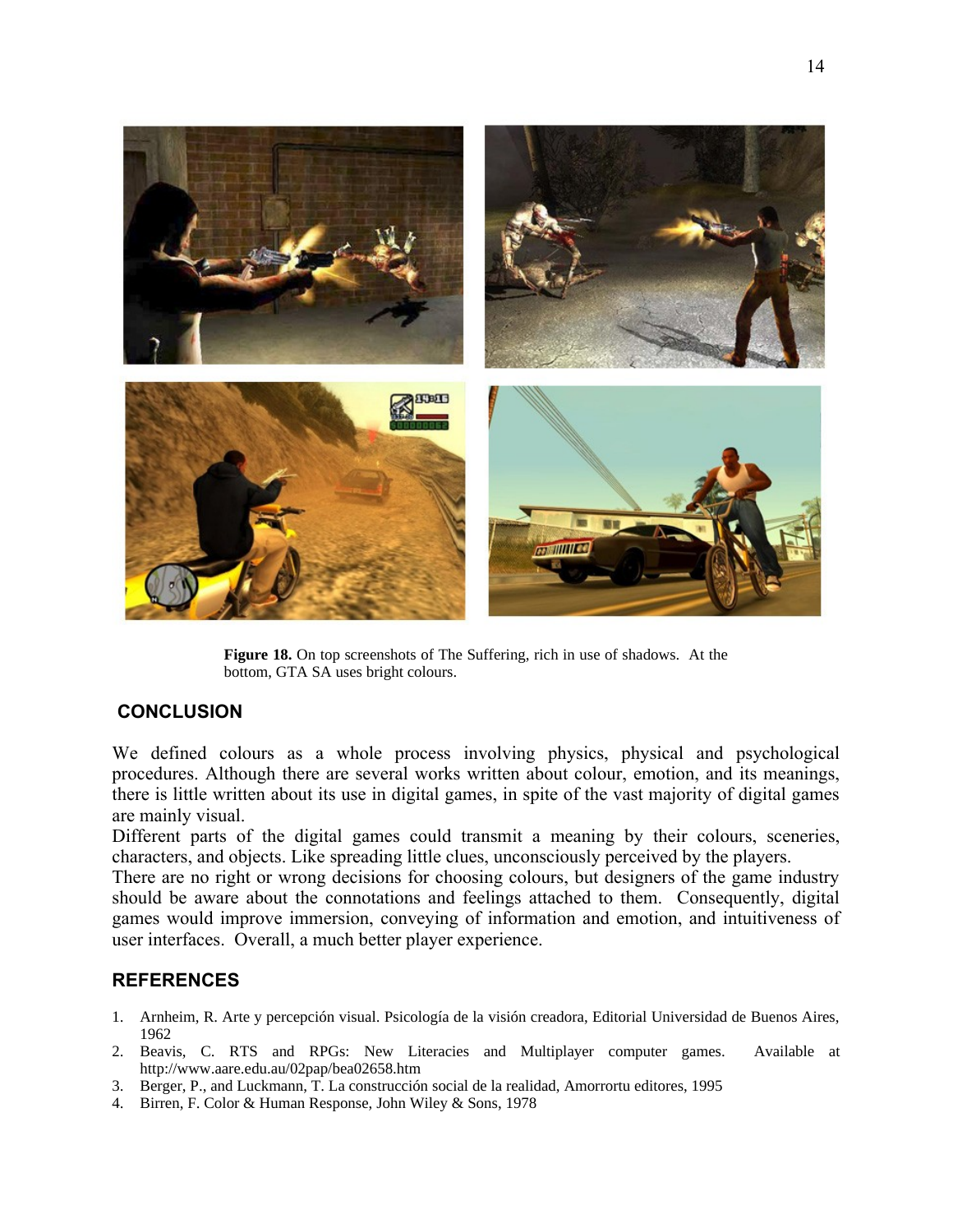

**Figure 18.** On top screenshots of The Suffering, rich in use of shadows. At the bottom, GTA SA uses bright colours.

#### **CONCLUSION**

We defined colours as a whole process involving physics, physical and psychological procedures. Although there are several works written about colour, emotion, and its meanings, there is little written about its use in digital games, in spite of the vast majority of digital games are mainly visual.

Different parts of the digital games could transmit a meaning by their colours, sceneries, characters, and objects. Like spreading little clues, unconsciously perceived by the players.

There are no right or wrong decisions for choosing colours, but designers of the game industry should be aware about the connotations and feelings attached to them. Consequently, digital games would improve immersion, conveying of information and emotion, and intuitiveness of user interfaces. Overall, a much better player experience.

#### **REFERENCES**

- 1. Arnheim, R. Arte y percepción visual. Psicología de la visión creadora, Editorial Universidad de Buenos Aires, 1962
- 2. Beavis, C. RTS and RPGs: New Literacies and Multiplayer computer games. Available at http://www.aare.edu.au/02pap/bea02658.htm
- 3. Berger, P., and Luckmann, T. La construcción social de la realidad, Amorrortu editores, 1995
- 4. Birren, F. Color & Human Response, John Wiley & Sons, 1978